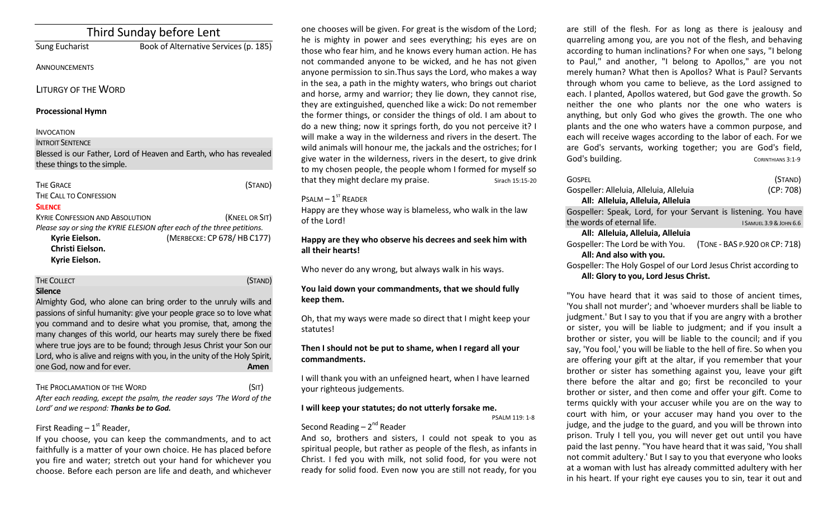| Third Sunday before Lent                                                |                                                                   |
|-------------------------------------------------------------------------|-------------------------------------------------------------------|
| <b>Sung Eucharist</b>                                                   | Book of Alternative Services (p. 185)                             |
| ANNOUNCEMENTS                                                           |                                                                   |
| <b>LITURGY OF THE WORD</b>                                              |                                                                   |
| <b>Processional Hymn</b>                                                |                                                                   |
| <b>INVOCATION</b>                                                       |                                                                   |
| <b>INTROIT SENTENCE</b>                                                 |                                                                   |
|                                                                         | Blessed is our Father, Lord of Heaven and Earth, who has revealed |
| these things to the simple.                                             |                                                                   |
| <b>THE GRACE</b>                                                        | (STAND)                                                           |
| THE CALL TO CONFESSION                                                  |                                                                   |
| <b>SILENCE</b>                                                          |                                                                   |
| <b>KYRIE CONFESSION AND ABSOLUTION</b>                                  | (KNEEL OR SIT)                                                    |
| Please say or sing the KYRIE ELESION after each of the three petitions. |                                                                   |
| Kyrie Eielson.                                                          | (MERBECKE: CP 678/HB C177)                                        |
| Christi Fielson.                                                        |                                                                   |
| Kyrie Eielson.                                                          |                                                                   |
|                                                                         |                                                                   |
| <b>THE COLLECT</b>                                                      | (STAND)                                                           |

#### **Silence**

Almighty God, who alone can bring order to the unruly wills and passions of sinful humanity: give your people grace so to love what you command and to desire what you promise, that, among the many changes of this world, our hearts may surely there be fixed where true joys are to be found; through Jesus Christ your Son our Lord, who is alive and reigns with you, in the unity of the Holy Spirit, one God, now and for ever. **Amen**

#### THE PROCLAMATION OF THE WORD (SIT)

*After each reading, except the psalm, the reader says 'The Word of the Lord' and we respond: Thanks be to God.* 

# First Reading  $-1<sup>st</sup>$  Reader,

If you choose, you can keep the commandments, and to act faithfully is a matter of your own choice. He has placed before you fire and water; stretch out your hand for whichever you choose. Before each person are life and death, and whichever

one chooses will be given. For great is the wisdom of the Lord; he is mighty in power and sees everything; his eyes are on those who fear him, and he knows every human action. He has not commanded anyone to be wicked, and he has not given anyone permission to sin.Thus says the Lord, who makes a way in the sea, a path in the mighty waters, who brings out chariot and horse, army and warrior; they lie down, they cannot rise, they are extinguished, quenched like a wick: Do not remember the former things, or consider the things of old. I am about to do a new thing; now it springs forth, do you not perceive it? I will make a way in the wilderness and rivers in the desert. The wild animals will honour me, the jackals and the ostriches; for I give water in the wilderness, rivers in the desert, to give drink to my chosen people, the people whom I formed for myself so that they might declare my praise. Sirach 15:15-20

# $P$ SALM  $-1$ <sup>ST</sup> READER

Happy are they whose way is blameless, who walk in the law of the Lord!

# **Happy are they who observe his decrees and seek him with all their hearts!**

Who never do any wrong, but always walk in his ways.

# **You laid down your commandments, that we should fully keep them.**

Oh, that my ways were made so direct that I might keep your statutes!

# **Then I should not be put to shame, when I regard all your commandments.**

I will thank you with an unfeigned heart, when I have learned your righteous judgements.

# **I will keep your statutes; do not utterly forsake me.**

PSALM 119: 1-8

# Second Reading – 2<sup>nd</sup> Reader

And so, brothers and sisters, I could not speak to you as spiritual people, but rather as people of the flesh, as infants in Christ. I fed you with milk, not solid food, for you were not ready for solid food. Even now you are still not ready, for you

are still of the flesh. For as long as there is jealousy and quarreling among you, are you not of the flesh, and behaving according to human inclinations? For when one says, "I belong to Paul," and another, "I belong to Apollos," are you not merely human? What then is Apollos? What is Paul? Servants through whom you came to believe, as the Lord assigned to each. I planted, Apollos watered, but God gave the growth. So neither the one who plants nor the one who waters is anything, but only God who gives the growth. The one who plants and the one who waters have a common purpose, and each will receive wages according to the labor of each. For we are God's servants, working together; you are God's field, God's building. CORINTHIANS 3:1-9

| <b>GOSPEL</b>                                                    | (STAND)                       |  |
|------------------------------------------------------------------|-------------------------------|--|
| Gospeller: Alleluia, Alleluia, Alleluia                          | (CP: 708)                     |  |
| All: Alleluia, Alleluia, Alleluia                                |                               |  |
| Gospeller: Speak, Lord, for your Servant is listening. You have  |                               |  |
| the words of eternal life.                                       | I SAMUEL 3.9 & JOHN 6.6       |  |
| All: Alleluia, Alleluia, Alleluia                                |                               |  |
| Gospeller: The Lord be with You.                                 | (TONE - BAS P.920 OR CP: 718) |  |
| All: And also with you.                                          |                               |  |
| Gospeller: The Holy Gospel of our Lord Jesus Christ according to |                               |  |

**All: Glory to you, Lord Jesus Christ.**

"You have heard that it was said to those of ancient times, 'You shall not murder'; and 'whoever murders shall be liable to judgment.' But I say to you that if you are angry with a brother or sister, you will be liable to judgment; and if you insult a brother or sister, you will be liable to the council; and if you say, 'You fool,' you will be liable to the hell of fire. So when you are offering your gift at the altar, if you remember that your brother or sister has something against you, leave your gift there before the altar and go; first be reconciled to your brother or sister, and then come and offer your gift. Come to terms quickly with your accuser while you are on the way to court with him, or your accuser may hand you over to the judge, and the judge to the guard, and you will be thrown into prison. Truly I tell you, you will never get out until you have paid the last penny. "You have heard that it was said, 'You shall not commit adultery.' But I say to you that everyone who looks at a woman with lust has already committed adultery with her in his heart. If your right eye causes you to sin, tear it out and